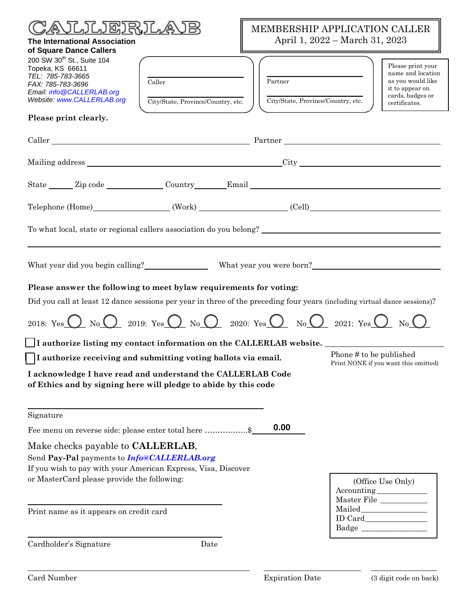| <b>《いいいご ふうにぐ</b><br><b>The International Association</b><br>of Square Dance Callers                                                                                                                            | MEMBERSHIP APPLICATION CALLER<br>April 1, 2022 - March 31, 2023                                                                                                      |  |
|-----------------------------------------------------------------------------------------------------------------------------------------------------------------------------------------------------------------|----------------------------------------------------------------------------------------------------------------------------------------------------------------------|--|
| 200 SW 30 <sup>th</sup> St., Suite 104<br>Topeka, KS 66611<br>TEL: 785-783-3665<br>Caller<br>FAX: 785-783-3696<br>Email: info@CALLERLAB.org<br>Website: www.CALLERLAB.org<br>City/State, Province/Country, etc. | Please print your<br>name and location<br>Partner<br>as you would like<br>it to appear on<br>cards, badges or<br>City/State, Province/Country, etc.<br>certificates. |  |
| Please print clearly.                                                                                                                                                                                           |                                                                                                                                                                      |  |
| Caller Partner Partner Caller                                                                                                                                                                                   |                                                                                                                                                                      |  |
|                                                                                                                                                                                                                 |                                                                                                                                                                      |  |
| State Zip code Country Email                                                                                                                                                                                    |                                                                                                                                                                      |  |
| Telephone (Home) (Work) (Work) (Cell)                                                                                                                                                                           |                                                                                                                                                                      |  |
|                                                                                                                                                                                                                 |                                                                                                                                                                      |  |
|                                                                                                                                                                                                                 |                                                                                                                                                                      |  |
| Please answer the following to meet bylaw requirements for voting:                                                                                                                                              |                                                                                                                                                                      |  |
| Did you call at least 12 dance sessions per year in three of the preceding four years (including virtual dance sessions)?                                                                                       |                                                                                                                                                                      |  |
| 2018: Yes $\bigcirc$ No $\bigcirc$ 2019: Yes $\bigcirc$ No $\bigcirc$ 2020: Yes $\bigcirc$ No $\bigcirc$ 2021: Yes $\bigcirc$ No $\bigcirc$                                                                     |                                                                                                                                                                      |  |
| $\Box$ I authorize listing my contact information on the CALLERLAB website.                                                                                                                                     |                                                                                                                                                                      |  |
| I authorize receiving and submitting voting ballots via email.                                                                                                                                                  | Phone # to be published<br>Print NONE if you want this omitted)                                                                                                      |  |
| I acknowledge I have read and understand the CALLERLAB Code<br>of Ethics and by signing here will pledge to abide by this code                                                                                  |                                                                                                                                                                      |  |
| Signature                                                                                                                                                                                                       |                                                                                                                                                                      |  |
| Fee menu on reverse side: please enter total here \$                                                                                                                                                            | 0.00                                                                                                                                                                 |  |
| Make checks payable to <b>CALLERLAB</b> ,<br>Send Pay-Pal payments to Info@CALLERLAB.org<br>If you wish to pay with your American Express, Visa, Discover<br>or MasterCard please provide the following:        | (Office Use Only)<br>Accounting____________                                                                                                                          |  |
| Print name as it appears on credit card                                                                                                                                                                         | $\begin{tabular}{ll} Master File & \underline{\hspace{15em}} \hspace{15em} \end{tabular}$<br>Badge                                                                   |  |
| Cardholder's Signature<br>Date                                                                                                                                                                                  |                                                                                                                                                                      |  |